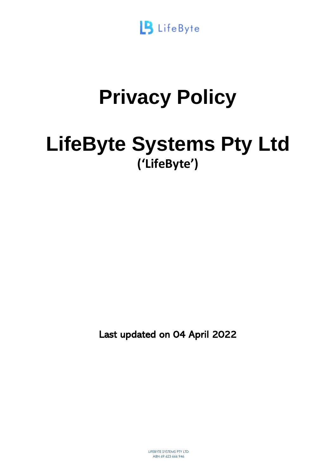

# **Privacy Policy**

# **LifeByte Systems Pty Ltd ('LifeByte')**

Last updated on 04 April 2022

LIFEBYTE SYSTEMS PTY LTD ABN 69 623 666 946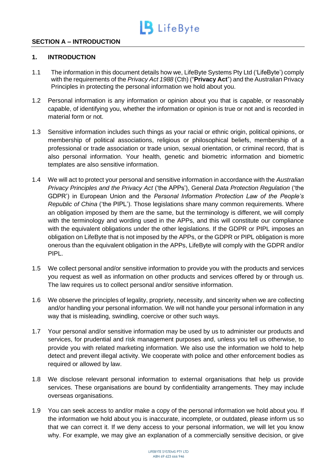

# **SECTION A – INTRODUCTION**

#### **1. INTRODUCTION**

- 1.1 The information in this document details how we, LifeByte Systems Pty Ltd ('LifeByte') comply with the requirements of the *Privacy Act 1988* (Cth) ("**Privacy Act**") and the Australian Privacy Principles in protecting the personal information we hold about you.
- 1.2 Personal information is any information or opinion about you that is capable, or reasonably capable, of identifying you, whether the information or opinion is true or not and is recorded in material form or not.
- 1.3 Sensitive information includes such things as your racial or ethnic origin, political opinions, or membership of political associations, religious or philosophical beliefs, membership of a professional or trade association or trade union, sexual orientation, or criminal record, that is also personal information. Your health, genetic and biometric information and biometric templates are also sensitive information.
- 1.4 We will act to protect your personal and sensitive information in accordance with the *Australian Privacy Principles and the Privacy Act* ('the APPs'), General *Data Protection Regulation* ('the GDPR') in European Union and the *Personal Information Protection Law of the People's Republic of China* ('the PIPL'). Those legislations share many common requirements. Where an obligation imposed by them are the same, but the terminology is different, we will comply with the terminology and wording used in the APPs, and this will constitute our compliance with the equivalent obligations under the other legislations. If the GDPR or PIPL imposes an obligation on LifeByte that is not imposed by the APPs, or the GDPR or PIPL obligation is more onerous than the equivalent obligation in the APPs, LifeByte will comply with the GDPR and/or PIPL.
- 1.5 We collect personal and/or sensitive information to provide you with the products and services you request as well as information on other products and services offered by or through us. The law requires us to collect personal and/or sensitive information.
- 1.6 We observe the principles of legality, propriety, necessity, and sincerity when we are collecting and/or handling your personal information. We will not handle your personal information in any way that is misleading, swindling, coercive or other such ways.
- 1.7 Your personal and/or sensitive information may be used by us to administer our products and services, for prudential and risk management purposes and, unless you tell us otherwise, to provide you with related marketing information. We also use the information we hold to help detect and prevent illegal activity. We cooperate with police and other enforcement bodies as required or allowed by law.
- 1.8 We disclose relevant personal information to external organisations that help us provide services. These organisations are bound by confidentiality arrangements. They may include overseas organisations.
- 1.9 You can seek access to and/or make a copy of the personal information we hold about you. If the information we hold about you is inaccurate, incomplete, or outdated, please inform us so that we can correct it. If we deny access to your personal information, we will let you know why. For example, we may give an explanation of a commercially sensitive decision, or give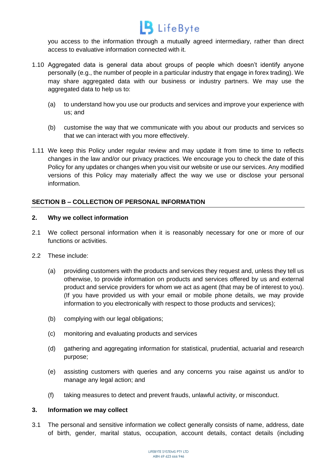

you access to the information through a mutually agreed intermediary, rather than direct access to evaluative information connected with it.

- 1.10 Aggregated data is general data about groups of people which doesn't identify anyone personally (e.g., the number of people in a particular industry that engage in forex trading). We may share aggregated data with our business or industry partners. We may use the aggregated data to help us to:
	- (a) to understand how you use our products and services and improve your experience with us; and
	- (b) customise the way that we communicate with you about our products and services so that we can interact with you more effectively.
- 1.11 We keep this Policy under regular review and may update it from time to time to reflects changes in the law and/or our privacy practices. We encourage you to check the date of this Policy for any updates or changes when you visit our website or use our services. Any modified versions of this Policy may materially affect the way we use or disclose your personal information.

# **SECTION B – COLLECTION OF PERSONAL INFORMATION**

#### **2. Why we collect information**

- 2.1 We collect personal information when it is reasonably necessary for one or more of our functions or activities.
- 2.2 These include:
	- (a) providing customers with the products and services they request and, unless they tell us otherwise, to provide information on products and services offered by us and external product and service providers for whom we act as agent (that may be of interest to you). (If you have provided us with your email or mobile phone details, we may provide information to you electronically with respect to those products and services);
	- (b) complying with our legal obligations;
	- (c) monitoring and evaluating products and services
	- (d) gathering and aggregating information for statistical, prudential, actuarial and research purpose;
	- (e) assisting customers with queries and any concerns you raise against us and/or to manage any legal action; and
	- (f) taking measures to detect and prevent frauds, unlawful activity, or misconduct.

#### **3. Information we may collect**

3.1 The personal and sensitive information we collect generally consists of name, address, date of birth, gender, marital status, occupation, account details, contact details (including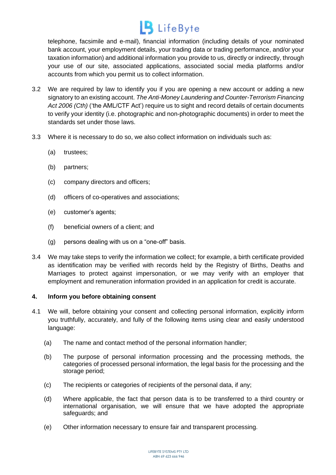telephone, facsimile and e-mail), financial information (including details of your nominated bank account, your employment details, your trading data or trading performance, and/or your taxation information) and additional information you provide to us, directly or indirectly, through your use of our site, associated applications, associated social media platforms and/or accounts from which you permit us to collect information.

- 3.2 We are required by law to identify you if you are opening a new account or adding a new signatory to an existing account. *The Anti-Money Laundering and Counter-Terrorism Financing Act 2006 (Cth)* ('the AML/CTF Act') require us to sight and record details of certain documents to verify your identity (i.e. photographic and non-photographic documents) in order to meet the standards set under those laws.
- 3.3 Where it is necessary to do so, we also collect information on individuals such as:
	- (a) trustees;
	- (b) partners;
	- (c) company directors and officers;
	- (d) officers of co-operatives and associations;
	- (e) customer's agents;
	- (f) beneficial owners of a client; and
	- (g) persons dealing with us on a "one-off" basis.
- 3.4 We may take steps to verify the information we collect; for example, a birth certificate provided as identification may be verified with records held by the Registry of Births, Deaths and Marriages to protect against impersonation, or we may verify with an employer that employment and remuneration information provided in an application for credit is accurate.

# **4. Inform you before obtaining consent**

- 4.1 We will, before obtaining your consent and collecting personal information, explicitly inform you truthfully, accurately, and fully of the following items using clear and easily understood language:
	- (a) The name and contact method of the personal information handler;
	- (b) The purpose of personal information processing and the processing methods, the categories of processed personal information, the legal basis for the processing and the storage period;
	- (c) The recipients or categories of recipients of the personal data, if any;
	- (d) Where applicable, the fact that person data is to be transferred to a third country or international organisation, we will ensure that we have adopted the appropriate safeguards; and
	- (e) Other information necessary to ensure fair and transparent processing.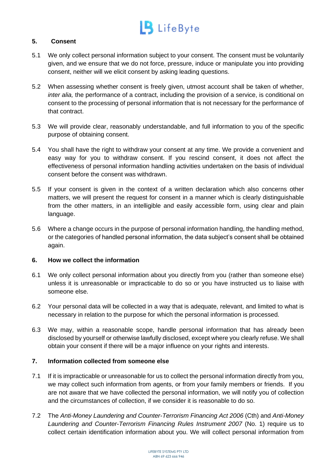# **5. Consent**

- 5.1 We only collect personal information subject to your consent. The consent must be voluntarily given, and we ensure that we do not force, pressure, induce or manipulate you into providing consent, neither will we elicit consent by asking leading questions.
- 5.2 When assessing whether consent is freely given, utmost account shall be taken of whether, *inter alia,* the performance of a contract, including the provision of a service, is conditional on consent to the processing of personal information that is not necessary for the performance of that contract.
- 5.3 We will provide clear, reasonably understandable, and full information to you of the specific purpose of obtaining consent.
- 5.4 You shall have the right to withdraw your consent at any time. We provide a convenient and easy way for you to withdraw consent. If you rescind consent, it does not affect the effectiveness of personal information handling activities undertaken on the basis of individual consent before the consent was withdrawn.
- 5.5 If your consent is given in the context of a written declaration which also concerns other matters, we will present the request for consent in a manner which is clearly distinguishable from the other matters, in an intelligible and easily accessible form, using clear and plain language.
- 5.6 Where a change occurs in the purpose of personal information handling, the handling method, or the categories of handled personal information, the data subject's consent shall be obtained again.

# **6. How we collect the information**

- 6.1 We only collect personal information about you directly from you (rather than someone else) unless it is unreasonable or impracticable to do so or you have instructed us to liaise with someone else.
- 6.2 Your personal data will be collected in a way that is adequate, relevant, and limited to what is necessary in relation to the purpose for which the personal information is processed.
- 6.3 We may, within a reasonable scope, handle personal information that has already been disclosed by yourself or otherwise lawfully disclosed, except where you clearly refuse. We shall obtain your consent if there will be a major influence on your rights and interests.

# **7. Information collected from someone else**

- 7.1 If it is impracticable or unreasonable for us to collect the personal information directly from you, we may collect such information from agents, or from your family members or friends. If you are not aware that we have collected the personal information, we will notify you of collection and the circumstances of collection, if we consider it is reasonable to do so.
- 7.2 The *Anti-Money Laundering and Counter-Terrorism Financing Act 2006* (Cth) and *Anti-Money Laundering and Counter-Terrorism Financing Rules Instrument 2007* (No. 1) require us to collect certain identification information about you. We will collect personal information from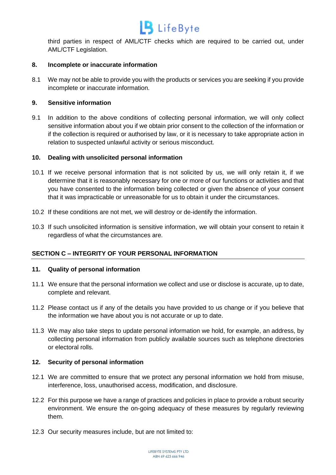# $\overline{\mathbf{B}}$  LifeByte

third parties in respect of AML/CTF checks which are required to be carried out, under AML/CTF Legislation.

# **8. Incomplete or inaccurate information**

8.1 We may not be able to provide you with the products or services you are seeking if you provide incomplete or inaccurate information.

# **9. Sensitive information**

9.1 In addition to the above conditions of collecting personal information, we will only collect sensitive information about you if we obtain prior consent to the collection of the information or if the collection is required or authorised by law, or it is necessary to take appropriate action in relation to suspected unlawful activity or serious misconduct.

# **10. Dealing with unsolicited personal information**

- 10.1 If we receive personal information that is not solicited by us, we will only retain it, if we determine that it is reasonably necessary for one or more of our functions or activities and that you have consented to the information being collected or given the absence of your consent that it was impracticable or unreasonable for us to obtain it under the circumstances.
- 10.2 If these conditions are not met, we will destroy or de-identify the information.
- 10.3 If such unsolicited information is sensitive information, we will obtain your consent to retain it regardless of what the circumstances are.

# **SECTION C – INTEGRITY OF YOUR PERSONAL INFORMATION**

# **11. Quality of personal information**

- 11.1 We ensure that the personal information we collect and use or disclose is accurate, up to date, complete and relevant.
- 11.2 Please contact us if any of the details you have provided to us change or if you believe that the information we have about you is not accurate or up to date.
- 11.3 We may also take steps to update personal information we hold, for example, an address, by collecting personal information from publicly available sources such as telephone directories or electoral rolls.

# **12. Security of personal information**

- 12.1 We are committed to ensure that we protect any personal information we hold from misuse, interference, loss, unauthorised access, modification, and disclosure.
- 12.2 For this purpose we have a range of practices and policies in place to provide a robust security environment. We ensure the on-going adequacy of these measures by regularly reviewing them.
- 12.3 Our security measures include, but are not limited to: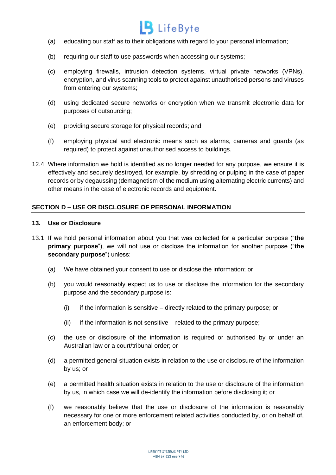

- (a) educating our staff as to their obligations with regard to your personal information;
- (b) requiring our staff to use passwords when accessing our systems;
- (c) employing firewalls, intrusion detection systems, virtual private networks (VPNs), encryption, and virus scanning tools to protect against unauthorised persons and viruses from entering our systems;
- (d) using dedicated secure networks or encryption when we transmit electronic data for purposes of outsourcing;
- (e) providing secure storage for physical records; and
- (f) employing physical and electronic means such as alarms, cameras and guards (as required) to protect against unauthorised access to buildings.
- 12.4 Where information we hold is identified as no longer needed for any purpose, we ensure it is effectively and securely destroyed, for example, by shredding or pulping in the case of paper records or by degaussing (demagnetism of the medium using alternating electric currents) and other means in the case of electronic records and equipment.

# **SECTION D – USE OR DISCLOSURE OF PERSONAL INFORMATION**

#### **13. Use or Disclosure**

- 13.1 If we hold personal information about you that was collected for a particular purpose ("**the primary purpose**"), we will not use or disclose the information for another purpose ("**the secondary purpose**") unless:
	- (a) We have obtained your consent to use or disclose the information; or
	- (b) you would reasonably expect us to use or disclose the information for the secondary purpose and the secondary purpose is:
		- (i) if the information is sensitive directly related to the primary purpose; or
		- (ii) if the information is not sensitive  $-$  related to the primary purpose;
	- (c) the use or disclosure of the information is required or authorised by or under an Australian law or a court/tribunal order; or
	- (d) a permitted general situation exists in relation to the use or disclosure of the information by us; or
	- (e) a permitted health situation exists in relation to the use or disclosure of the information by us, in which case we will de-identify the information before disclosing it; or
	- (f) we reasonably believe that the use or disclosure of the information is reasonably necessary for one or more enforcement related activities conducted by, or on behalf of, an enforcement body; or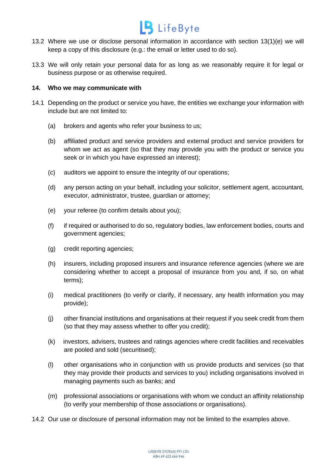

- 13.2 Where we use or disclose personal information in accordance with section 13(1)(e) we will keep a copy of this disclosure (e.g.: the email or letter used to do so).
- 13.3 We will only retain your personal data for as long as we reasonably require it for legal or business purpose or as otherwise required.

#### **14. Who we may communicate with**

- 14.1 Depending on the product or service you have, the entities we exchange your information with include but are not limited to:
	- (a) brokers and agents who refer your business to us;
	- (b) affiliated product and service providers and external product and service providers for whom we act as agent (so that they may provide you with the product or service you seek or in which you have expressed an interest);
	- (c) auditors we appoint to ensure the integrity of our operations;
	- (d) any person acting on your behalf, including your solicitor, settlement agent, accountant, executor, administrator, trustee, guardian or attorney;
	- (e) your referee (to confirm details about you);
	- (f) if required or authorised to do so, regulatory bodies, law enforcement bodies, courts and government agencies;
	- (g) credit reporting agencies;
	- (h) insurers, including proposed insurers and insurance reference agencies (where we are considering whether to accept a proposal of insurance from you and, if so, on what terms);
	- (i) medical practitioners (to verify or clarify, if necessary, any health information you may provide);
	- (j) other financial institutions and organisations at their request if you seek credit from them (so that they may assess whether to offer you credit);
	- (k) investors, advisers, trustees and ratings agencies where credit facilities and receivables are pooled and sold (securitised);
	- (l) other organisations who in conjunction with us provide products and services (so that they may provide their products and services to you) including organisations involved in managing payments such as banks; and
	- (m) professional associations or organisations with whom we conduct an affinity relationship (to verify your membership of those associations or organisations).
- 14.2 Our use or disclosure of personal information may not be limited to the examples above.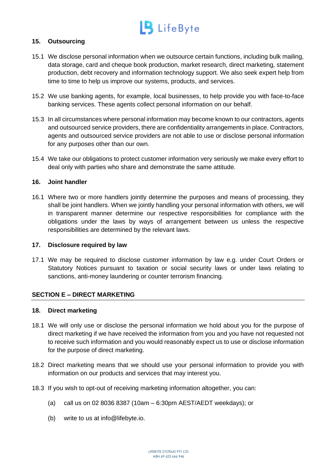# **15. Outsourcing**

- 15.1 We disclose personal information when we outsource certain functions, including bulk mailing, data storage, card and cheque book production, market research, direct marketing, statement production, debt recovery and information technology support. We also seek expert help from time to time to help us improve our systems, products, and services.
- 15.2 We use banking agents, for example, local businesses, to help provide you with face-to-face banking services. These agents collect personal information on our behalf.
- 15.3 In all circumstances where personal information may become known to our contractors, agents and outsourced service providers, there are confidentiality arrangements in place. Contractors, agents and outsourced service providers are not able to use or disclose personal information for any purposes other than our own.
- 15.4 We take our obligations to protect customer information very seriously we make every effort to deal only with parties who share and demonstrate the same attitude.

# **16. Joint handler**

16.1 Where two or more handlers jointly determine the purposes and means of processing, they shall be joint handlers. When we jointly handling your personal information with others, we will in transparent manner determine our respective responsibilities for compliance with the obligations under the laws by ways of arrangement between us unless the respective responsibilities are determined by the relevant laws.

### **17. Disclosure required by law**

17.1 We may be required to disclose customer information by law e.g. under Court Orders or Statutory Notices pursuant to taxation or social security laws or under laws relating to sanctions, anti-money laundering or counter terrorism financing.

# **SECTION E – DIRECT MARKETING**

#### **18. Direct marketing**

- 18.1 We will only use or disclose the personal information we hold about you for the purpose of direct marketing if we have received the information from you and you have not requested not to receive such information and you would reasonably expect us to use or disclose information for the purpose of direct marketing.
- 18.2 Direct marketing means that we should use your personal information to provide you with information on our products and services that may interest you.
- 18.3 If you wish to opt-out of receiving marketing information altogether, you can:
	- (a) call us on 02 8036 8387 (10am 6:30pm AEST/AEDT weekdays); or
	- (b) write to us at info@lifebyte.io.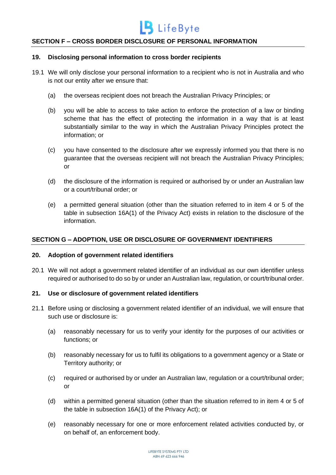

# **SECTION F – CROSS BORDER DISCLOSURE OF PERSONAL INFORMATION**

#### **19. Disclosing personal information to cross border recipients**

- 19.1 We will only disclose your personal information to a recipient who is not in Australia and who is not our entity after we ensure that:
	- (a) the overseas recipient does not breach the Australian Privacy Principles; or
	- (b) you will be able to access to take action to enforce the protection of a law or binding scheme that has the effect of protecting the information in a way that is at least substantially similar to the way in which the Australian Privacy Principles protect the information; or
	- (c) you have consented to the disclosure after we expressly informed you that there is no guarantee that the overseas recipient will not breach the Australian Privacy Principles; or
	- (d) the disclosure of the information is required or authorised by or under an Australian law or a court/tribunal order; or
	- (e) a permitted general situation (other than the situation referred to in item 4 or 5 of the table in subsection 16A(1) of the Privacy Act) exists in relation to the disclosure of the information.

#### **SECTION G – ADOPTION, USE OR DISCLOSURE OF GOVERNMENT IDENTIFIERS**

#### **20. Adoption of government related identifiers**

20.1 We will not adopt a government related identifier of an individual as our own identifier unless required or authorised to do so by or under an Australian law, regulation, or court/tribunal order.

#### **21. Use or disclosure of government related identifiers**

- 21.1 Before using or disclosing a government related identifier of an individual, we will ensure that such use or disclosure is:
	- (a) reasonably necessary for us to verify your identity for the purposes of our activities or functions; or
	- (b) reasonably necessary for us to fulfil its obligations to a government agency or a State or Territory authority; or
	- (c) required or authorised by or under an Australian law, regulation or a court/tribunal order; or
	- (d) within a permitted general situation (other than the situation referred to in item 4 or 5 of the table in subsection 16A(1) of the Privacy Act); or
	- (e) reasonably necessary for one or more enforcement related activities conducted by, or on behalf of, an enforcement body.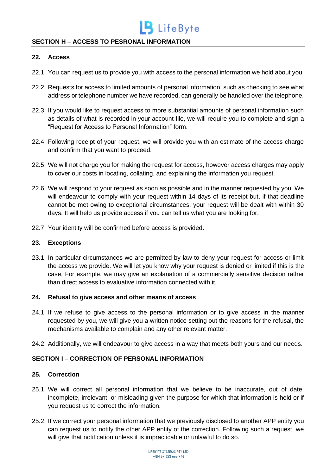# **SECTION H – ACCESS TO PESRONAL INFORMATION**

#### **22. Access**

- 22.1 You can request us to provide you with access to the personal information we hold about you.
- 22.2 Requests for access to limited amounts of personal information, such as checking to see what address or telephone number we have recorded, can generally be handled over the telephone.
- 22.3 If you would like to request access to more substantial amounts of personal information such as details of what is recorded in your account file, we will require you to complete and sign a "Request for Access to Personal Information" form.
- 22.4 Following receipt of your request, we will provide you with an estimate of the access charge and confirm that you want to proceed.
- 22.5 We will not charge you for making the request for access, however access charges may apply to cover our costs in locating, collating, and explaining the information you request.
- 22.6 We will respond to your request as soon as possible and in the manner requested by you. We will endeavour to comply with your request within 14 days of its receipt but, if that deadline cannot be met owing to exceptional circumstances, your request will be dealt with within 30 days. It will help us provide access if you can tell us what you are looking for.
- 22.7 Your identity will be confirmed before access is provided.

# **23. Exceptions**

23.1 In particular circumstances we are permitted by law to deny your request for access or limit the access we provide. We will let you know why your request is denied or limited if this is the case. For example, we may give an explanation of a commercially sensitive decision rather than direct access to evaluative information connected with it.

#### **24. Refusal to give access and other means of access**

- 24.1 If we refuse to give access to the personal information or to give access in the manner requested by you, we will give you a written notice setting out the reasons for the refusal, the mechanisms available to complain and any other relevant matter.
- 24.2 Additionally, we will endeavour to give access in a way that meets both yours and our needs.

# **SECTION I – CORRECTION OF PERSONAL INFORMATION**

#### **25. Correction**

- 25.1 We will correct all personal information that we believe to be inaccurate, out of date, incomplete, irrelevant, or misleading given the purpose for which that information is held or if you request us to correct the information.
- 25.2 If we correct your personal information that we previously disclosed to another APP entity you can request us to notify the other APP entity of the correction. Following such a request, we will give that notification unless it is impracticable or unlawful to do so.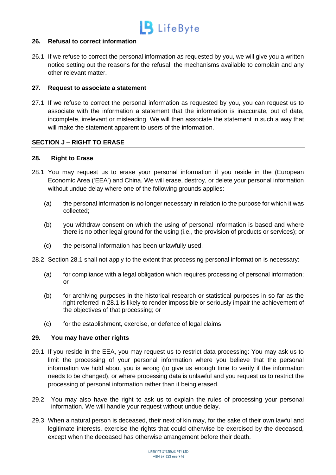

#### **26. Refusal to correct information**

26.1 If we refuse to correct the personal information as requested by you, we will give you a written notice setting out the reasons for the refusal, the mechanisms available to complain and any other relevant matter.

### **27. Request to associate a statement**

27.1 If we refuse to correct the personal information as requested by you, you can request us to associate with the information a statement that the information is inaccurate, out of date, incomplete, irrelevant or misleading. We will then associate the statement in such a way that will make the statement apparent to users of the information.

# **SECTION J – RIGHT TO ERASE**

# **28. Right to Erase**

- 28.1 You may request us to erase your personal information if you reside in the (European Economic Area ('EEA') and China. We will erase, destroy, or delete your personal information without undue delay where one of the following grounds applies:
	- (a) the personal information is no longer necessary in relation to the purpose for which it was collected;
	- (b) you withdraw consent on which the using of personal information is based and where there is no other legal ground for the using (i.e., the provision of products or services); or
	- (c) the personal information has been unlawfully used.
- 28.2 Section 28.1 shall not apply to the extent that processing personal information is necessary:
	- (a) for compliance with a legal obligation which requires processing of personal information; or
	- (b) for archiving purposes in the historical research or statistical purposes in so far as the right referred in 28.1 is likely to render impossible or seriously impair the achievement of the objectives of that processing; or
	- (c) for the establishment, exercise, or defence of legal claims.

#### **29. You may have other rights**

- 29.1 If you reside in the EEA, you may request us to restrict data processing: You may ask us to limit the processing of your personal information where you believe that the personal information we hold about you is wrong (to give us enough time to verify if the information needs to be changed), or where processing data is unlawful and you request us to restrict the processing of personal information rather than it being erased.
- 29.2 You may also have the right to ask us to explain the rules of processing your personal information. We will handle your request without undue delay.
- 29.3 When a natural person is deceased, their next of kin may, for the sake of their own lawful and legitimate interests, exercise the rights that could otherwise be exercised by the deceased, except when the deceased has otherwise arrangement before their death.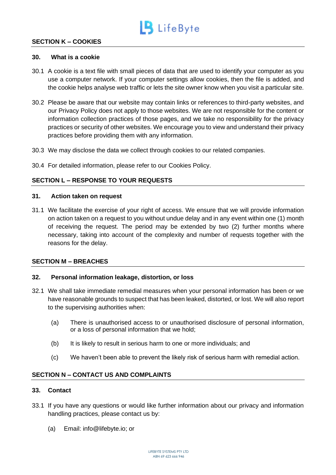

# **SECTION K – COOKIES**

#### **30. What is a cookie**

- 30.1 A cookie is a text file with small pieces of data that are used to identify your computer as you use a computer network. If your computer settings allow cookies, then the file is added, and the cookie helps analyse web traffic or lets the site owner know when you visit a particular site.
- 30.2 Please be aware that our website may contain links or references to third-party websites, and our Privacy Policy does not apply to those websites. We are not responsible for the content or information collection practices of those pages, and we take no responsibility for the privacy practices or security of other websites. We encourage you to view and understand their privacy practices before providing them with any information.
- 30.3 We may disclose the data we collect through cookies to our related companies.
- 30.4 For detailed information, please refer to our Cookies Policy.

# **SECTION L – RESPONSE TO YOUR REQUESTS**

#### **31. Action taken on request**

31.1 We facilitate the exercise of your right of access. We ensure that we will provide information on action taken on a request to you without undue delay and in any event within one (1) month of receiving the request. The period may be extended by two (2) further months where necessary, taking into account of the complexity and number of requests together with the reasons for the delay.

#### **SECTION M – BREACHES**

#### **32. Personal information leakage, distortion, or loss**

- 32.1 We shall take immediate remedial measures when your personal information has been or we have reasonable grounds to suspect that has been leaked, distorted, or lost. We will also report to the supervising authorities when:
	- (a) There is unauthorised access to or unauthorised disclosure of personal information, or a loss of personal information that we hold;
	- (b) It is likely to result in serious harm to one or more individuals; and
	- (c) We haven't been able to prevent the likely risk of serious harm with remedial action.

### **SECTION N – CONTACT US AND COMPLAINTS**

### **33. Contact**

- 33.1 If you have any questions or would like further information about our privacy and information handling practices, please contact us by:
	- (a) Email: info@lifebyte.io; or